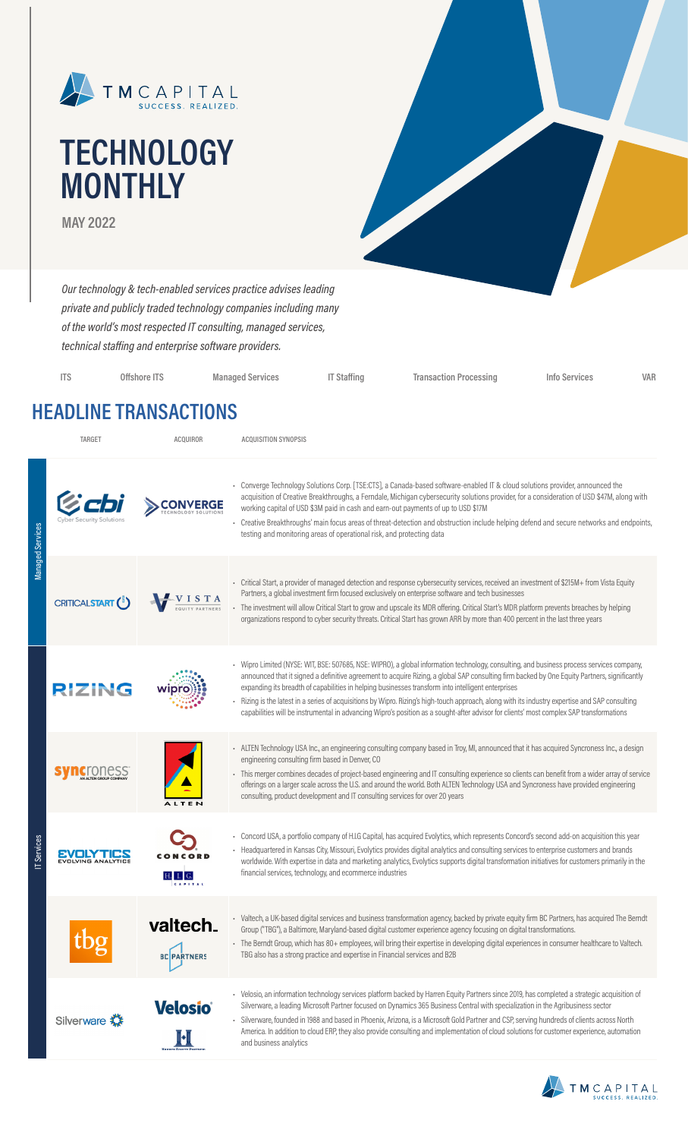

# **TECHNOLOGY MONTHLY**

**MAY 2022**

*Our technology & tech-enabled services practice advises leading private and publicly traded technology companies including many of the world's most respected IT consulting, managed services, technical staffing and enterprise software providers.*

| <b>ITS</b> | Offshore ITS | <b>Managed Services</b> | IT Staffing | <b>Transaction Processing</b> | Info Services | VAR |
|------------|--------------|-------------------------|-------------|-------------------------------|---------------|-----|
|            |              |                         |             |                               |               |     |

### **HEADLINE TRANSACTIONS**

| <b>TARGET</b>                 | <b>ACQUIROR</b>                | <b>ACQUISITION SYNOPSIS</b>                                                                                                                                                                                                                                                                                                                                                                                                                                                                                                                                                                                                                                                                 |
|-------------------------------|--------------------------------|---------------------------------------------------------------------------------------------------------------------------------------------------------------------------------------------------------------------------------------------------------------------------------------------------------------------------------------------------------------------------------------------------------------------------------------------------------------------------------------------------------------------------------------------------------------------------------------------------------------------------------------------------------------------------------------------|
|                               |                                | - Converge Technology Solutions Corp. [TSE:CTS], a Canada-based software-enabled IT & cloud solutions provider, announced the<br>acquisition of Creative Breakthroughs, a Ferndale, Michigan cybersecurity solutions provider, for a consideration of USD \$47M, along with<br>working capital of USD \$3M paid in cash and earn-out payments of up to USD \$17M<br>- Creative Breakthroughs' main focus areas of threat-detection and obstruction include helping defend and secure networks and endpoints,<br>testing and monitoring areas of operational risk, and protecting data                                                                                                       |
| CRITICALSTART <sup>(5</sup> ) | VISTA                          | - Critical Start, a provider of managed detection and response cybersecurity services, received an investment of \$215M+ from Vista Equity<br>Partners, a global investment firm focused exclusively on enterprise software and tech businesses<br>- The investment will allow Critical Start to grow and upscale its MDR offering. Critical Start's MDR platform prevents breaches by helping<br>organizations respond to cyber security threats. Critical Start has grown ARR by more than 400 percent in the last three years                                                                                                                                                            |
| <b>RIZING</b>                 |                                | - Wipro Limited (NYSE: WIT, BSE: 507685, NSE: WIPRO), a global information technology, consulting, and business process services company,<br>announced that it signed a definitive agreement to acquire Rizing, a global SAP consulting firm backed by One Equity Partners, significantly<br>expanding its breadth of capabilities in helping businesses transform into intelligent enterprises<br>Rizing is the latest in a series of acquisitions by Wipro. Rizing's high-touch approach, along with its industry expertise and SAP consulting<br>capabilities will be instrumental in advancing Wipro's position as a sought-after advisor for clients' most complex SAP transformations |
|                               |                                | - ALTEN Technology USA Inc., an engineering consulting company based in Troy, MI, announced that it has acquired Syncroness Inc., a design<br>engineering consulting firm based in Denver, CO<br>- This merger combines decades of project-based engineering and IT consulting experience so clients can benefit from a wider array of service<br>offerings on a larger scale across the U.S. and around the world. Both ALTEN Technology USA and Syncroness have provided engineering<br>consulting, product development and IT consulting services for over 20 years                                                                                                                      |
| <b>EVOLVING ANALYTICS</b>     | H. I. G.                       | Concord USA, a portfolio company of H.I.G Capital, has acquired Evolytics, which represents Concord's second add-on acquisition this year<br>- Headquartered in Kansas City, Missouri, Evolytics provides digital analytics and consulting services to enterprise customers and brands<br>worldwide. With expertise in data and marketing analytics, Evolytics supports digital transformation initiatives for customers primarily in the<br>financial services, technology, and ecommerce industries                                                                                                                                                                                       |
|                               | valtech.<br><b>BC PARTNERS</b> | - Valtech, a UK-based digital services and business transformation agency, backed by private equity firm BC Partners, has acquired The Berndt<br>Group ("TBG"), a Baltimore, Maryland-based digital customer experience agency focusing on digital transformations.<br>- The Berndt Group, which has 80+ employees, will bring their expertise in developing digital experiences in consumer healthcare to Valtech.<br>TBG also has a strong practice and expertise in Financial services and B2B                                                                                                                                                                                           |
| Silverware                    | <b>Velosio</b> ®               | - Velosio, an information technology services platform backed by Harren Equity Partners since 2019, has completed a strategic acquisition of<br>Silverware, a leading Microsoft Partner focused on Dynamics 365 Business Central with specialization in the Agribusiness sector<br>- Silverware, founded in 1988 and based in Phoenix, Arizona, is a Microsoft Gold Partner and CSP, serving hundreds of clients across North<br>America. In addition to cloud ERP, they also provide consulting and implementation of cloud solutions for customer experience, automation<br>and business analytics                                                                                        |
|                               |                                |                                                                                                                                                                                                                                                                                                                                                                                                                                                                                                                                                                                                                                                                                             |

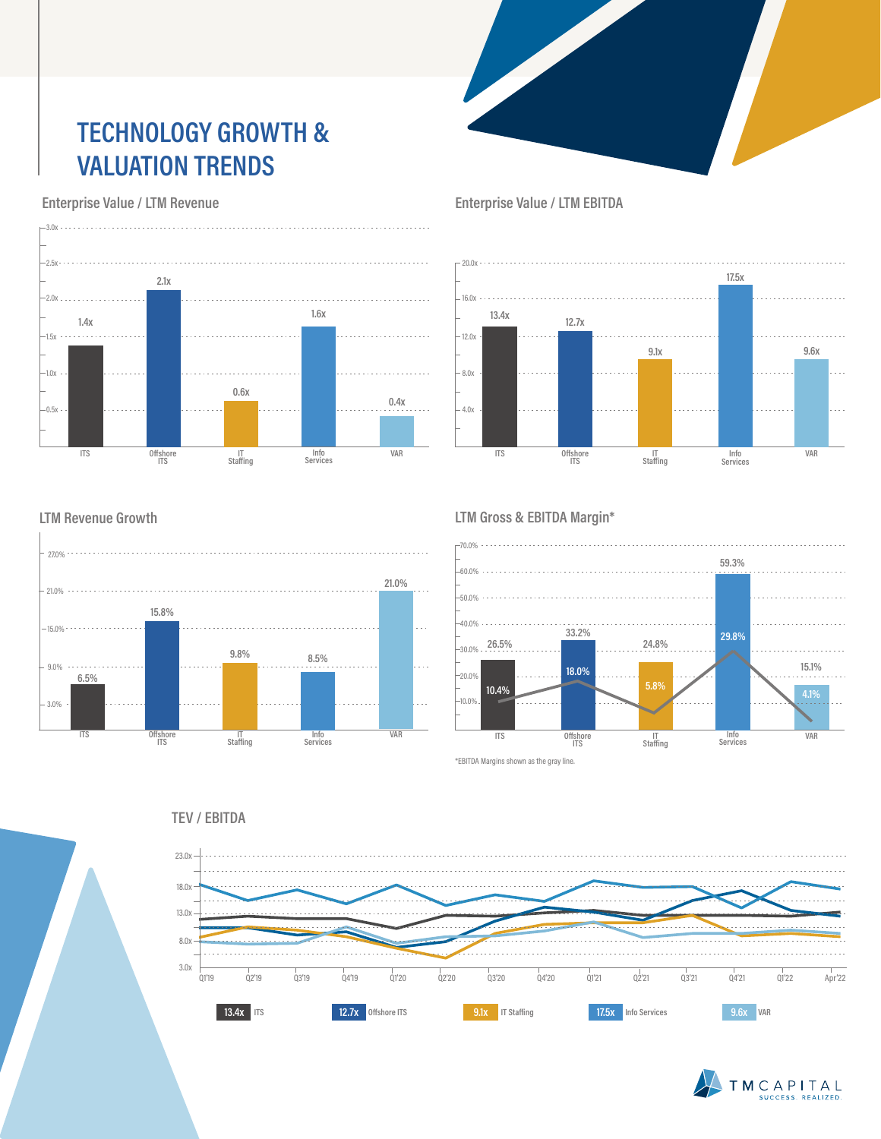## **TECHNOLOGY GROWTH & VALUATION TRENDS**

 **Enterprise Value / LTM Revenue**



 **Enterprise Value / LTM EBITDA**



#### **LTM Revenue Growth**



#### **LTM Gross & EBITDA Margin\***



\*EBITDA Margins shown as the gray line.



#### **TEV / EBITDA**